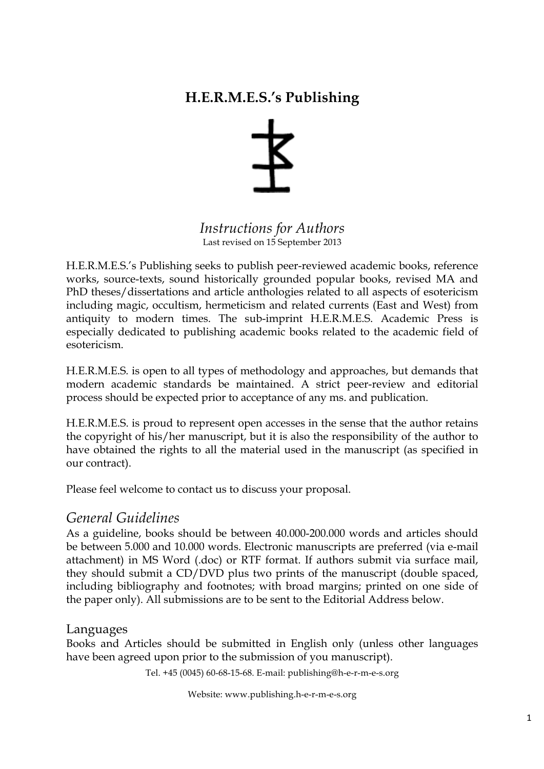# **H.E.R.M.E.S.'s Publishing**



*Instructions for Authors* Last revised on 15 September 2013

H.E.R.M.E.S.'s Publishing seeks to publish peer-reviewed academic books, reference works, source-texts, sound historically grounded popular books, revised MA and PhD theses/dissertations and article anthologies related to all aspects of esotericism including magic, occultism, hermeticism and related currents (East and West) from antiquity to modern times. The sub-imprint H.E.R.M.E.S. Academic Press is especially dedicated to publishing academic books related to the academic field of esotericism.

H.E.R.M.E.S*.* is open to all types of methodology and approaches, but demands that modern academic standards be maintained. A strict peer-review and editorial process should be expected prior to acceptance of any ms. and publication.

H.E.R.M.E.S. is proud to represent open accesses in the sense that the author retains the copyright of his/her manuscript, but it is also the responsibility of the author to have obtained the rights to all the material used in the manuscript (as specified in our contract).

Please feel welcome to contact us to discuss your proposal.

# *General Guidelines*

As a guideline, books should be between 40.000-200.000 words and articles should be between 5.000 and 10.000 words. Electronic manuscripts are preferred (via e-mail attachment) in MS Word (.doc) or RTF format. If authors submit via surface mail, they should submit a CD/DVD plus two prints of the manuscript (double spaced, including bibliography and footnotes; with broad margins; printed on one side of the paper only). All submissions are to be sent to the Editorial Address below.

### Languages

Books and Articles should be submitted in English only (unless other languages have been agreed upon prior to the submission of you manuscript).

Tel. +45 (0045) 60-68-15-68. E-mail: publishing@h-e-r-m-e-s.org

Website: www.publishing.h-e-r-m-e-s.org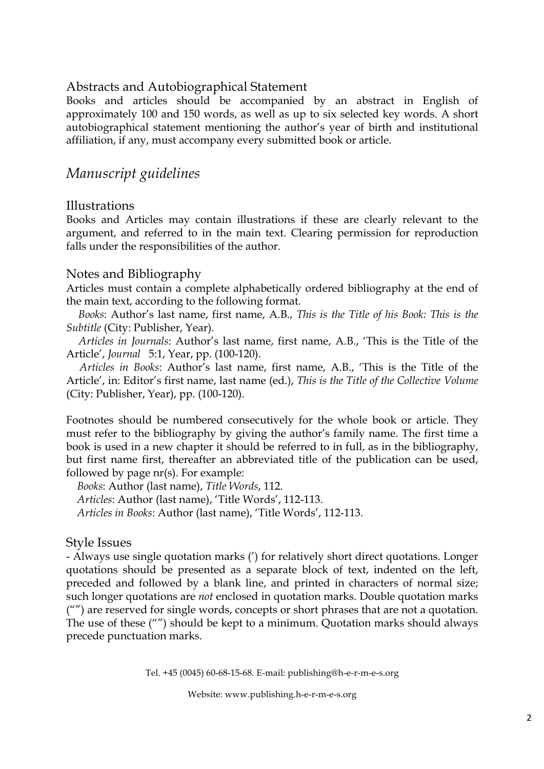## Abstracts and Autobiographical Statement

Books and articles should be accompanied by an abstract in English of approximately 100 and 150 words, as well as up to six selected key words. A short autobiographical statement mentioning the author's year of birth and institutional affiliation, if any, must accompany every submitted book or article.

# *Manuscript guidelines*

#### Illustrations

Books and Articles may contain illustrations if these are clearly relevant to the argument, and referred to in the main text. Clearing permission for reproduction falls under the responsibilities of the author.

#### Notes and Bibliography

Articles must contain a complete alphabetically ordered bibliography at the end of the main text, according to the following format.

 *Books*: Author's last name, first name, A.B., *This is the Title of his Book: This is the Subtitle* (City: Publisher, Year).

 *Articles in Journals*: Author's last name, first name, A.B., 'This is the Title of the Article', *Journal* 5:1, Year, pp. (100-120).

 *Articles in Books*: Author's last name, first name, A.B., 'This is the Title of the Article', in: Editor's first name, last name (ed.), *This is the Title of the Collective Volume* (City: Publisher, Year), pp. (100-120).

Footnotes should be numbered consecutively for the whole book or article. They must refer to the bibliography by giving the author's family name. The first time a book is used in a new chapter it should be referred to in full, as in the bibliography, but first name first, thereafter an abbreviated title of the publication can be used, followed by page nr(s). For example:

 *Books*: Author (last name), *Title Words*, 112. *Articles*: Author (last name), 'Title Words', 112-113. *Articles in Books*: Author (last name), 'Title Words', 112-113.

### Style Issues

- Always use single quotation marks (') for relatively short direct quotations. Longer quotations should be presented as a separate block of text, indented on the left, preceded and followed by a blank line, and printed in characters of normal size; such longer quotations are *not* enclosed in quotation marks. Double quotation marks ("") are reserved for single words, concepts or short phrases that are not a quotation. The use of these ("") should be kept to a minimum. Quotation marks should always precede punctuation marks.

Tel. +45 (0045) 60-68-15-68. E-mail: publishing@h-e-r-m-e-s.org

Website: www.publishing.h-e-r-m-e-s.org